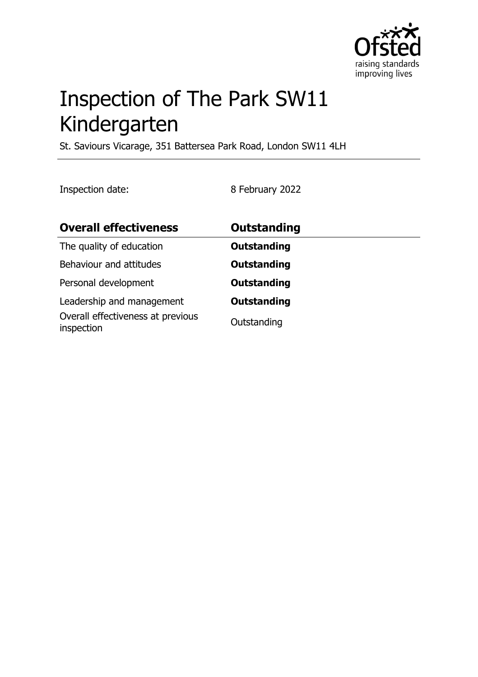

# Inspection of The Park SW11 Kindergarten

St. Saviours Vicarage, 351 Battersea Park Road, London SW11 4LH

Inspection date: 8 February 2022

| <b>Overall effectiveness</b>                                                 | Outstanding                       |
|------------------------------------------------------------------------------|-----------------------------------|
| The quality of education                                                     | <b>Outstanding</b>                |
| Behaviour and attitudes                                                      | <b>Outstanding</b>                |
| Personal development                                                         | <b>Outstanding</b>                |
| Leadership and management<br>Overall effectiveness at previous<br>inspection | <b>Outstanding</b><br>Outstanding |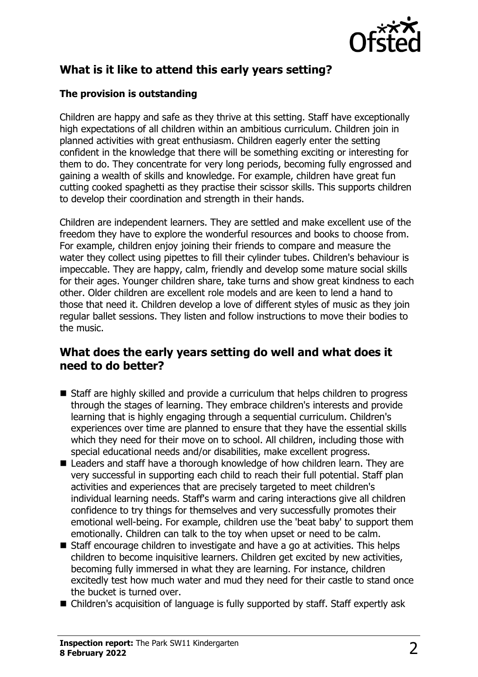

# **What is it like to attend this early years setting?**

#### **The provision is outstanding**

Children are happy and safe as they thrive at this setting. Staff have exceptionally high expectations of all children within an ambitious curriculum. Children join in planned activities with great enthusiasm. Children eagerly enter the setting confident in the knowledge that there will be something exciting or interesting for them to do. They concentrate for very long periods, becoming fully engrossed and gaining a wealth of skills and knowledge. For example, children have great fun cutting cooked spaghetti as they practise their scissor skills. This supports children to develop their coordination and strength in their hands.

Children are independent learners. They are settled and make excellent use of the freedom they have to explore the wonderful resources and books to choose from. For example, children enjoy joining their friends to compare and measure the water they collect using pipettes to fill their cylinder tubes. Children's behaviour is impeccable. They are happy, calm, friendly and develop some mature social skills for their ages. Younger children share, take turns and show great kindness to each other. Older children are excellent role models and are keen to lend a hand to those that need it. Children develop a love of different styles of music as they join regular ballet sessions. They listen and follow instructions to move their bodies to the music.

#### **What does the early years setting do well and what does it need to do better?**

- $\blacksquare$  Staff are highly skilled and provide a curriculum that helps children to progress through the stages of learning. They embrace children's interests and provide learning that is highly engaging through a sequential curriculum. Children's experiences over time are planned to ensure that they have the essential skills which they need for their move on to school. All children, including those with special educational needs and/or disabilities, make excellent progress.
- $\blacksquare$  Leaders and staff have a thorough knowledge of how children learn. They are very successful in supporting each child to reach their full potential. Staff plan activities and experiences that are precisely targeted to meet children's individual learning needs. Staff's warm and caring interactions give all children confidence to try things for themselves and very successfully promotes their emotional well-being. For example, children use the 'beat baby' to support them emotionally. Children can talk to the toy when upset or need to be calm.
- $\blacksquare$  Staff encourage children to investigate and have a go at activities. This helps children to become inquisitive learners. Children get excited by new activities, becoming fully immersed in what they are learning. For instance, children excitedly test how much water and mud they need for their castle to stand once the bucket is turned over.
- Children's acquisition of language is fully supported by staff. Staff expertly ask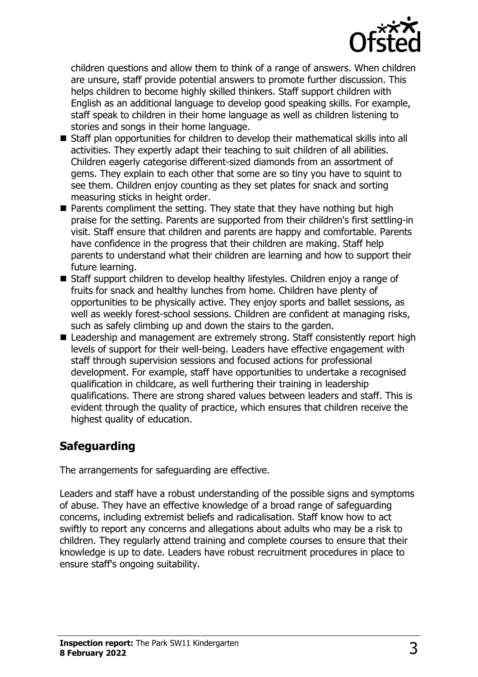

children questions and allow them to think of a range of answers. When children are unsure, staff provide potential answers to promote further discussion. This helps children to become highly skilled thinkers. Staff support children with English as an additional language to develop good speaking skills. For example, staff speak to children in their home language as well as children listening to stories and songs in their home language.

- Staff plan opportunities for children to develop their mathematical skills into all activities. They expertly adapt their teaching to suit children of all abilities. Children eagerly categorise different-sized diamonds from an assortment of gems. They explain to each other that some are so tiny you have to squint to see them. Children enjoy counting as they set plates for snack and sorting measuring sticks in height order.
- $\blacksquare$  Parents compliment the setting. They state that they have nothing but high praise for the setting. Parents are supported from their children's first settling-in visit. Staff ensure that children and parents are happy and comfortable. Parents have confidence in the progress that their children are making. Staff help parents to understand what their children are learning and how to support their future learning.
- Staff support children to develop healthy lifestyles. Children enjoy a range of fruits for snack and healthy lunches from home. Children have plenty of opportunities to be physically active. They enjoy sports and ballet sessions, as well as weekly forest-school sessions. Children are confident at managing risks, such as safely climbing up and down the stairs to the garden.
- Leadership and management are extremely strong. Staff consistently report high levels of support for their well-being. Leaders have effective engagement with staff through supervision sessions and focused actions for professional development. For example, staff have opportunities to undertake a recognised qualification in childcare, as well furthering their training in leadership qualifications. There are strong shared values between leaders and staff. This is evident through the quality of practice, which ensures that children receive the highest quality of education.

## **Safeguarding**

The arrangements for safeguarding are effective.

Leaders and staff have a robust understanding of the possible signs and symptoms of abuse. They have an effective knowledge of a broad range of safeguarding concerns, including extremist beliefs and radicalisation. Staff know how to act swiftly to report any concerns and allegations about adults who may be a risk to children. They regularly attend training and complete courses to ensure that their knowledge is up to date. Leaders have robust recruitment procedures in place to ensure staff's ongoing suitability.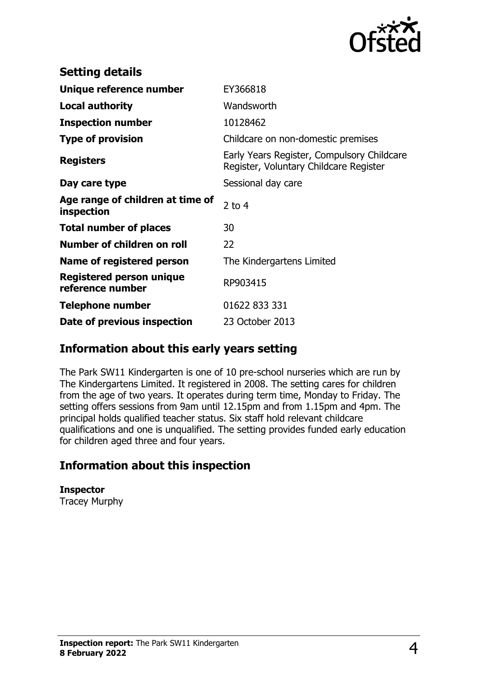

| <b>Setting details</b>                         |                                                                                      |
|------------------------------------------------|--------------------------------------------------------------------------------------|
| Unique reference number                        | EY366818                                                                             |
| <b>Local authority</b>                         | Wandsworth                                                                           |
| <b>Inspection number</b>                       | 10128462                                                                             |
| <b>Type of provision</b>                       | Childcare on non-domestic premises                                                   |
| <b>Registers</b>                               | Early Years Register, Compulsory Childcare<br>Register, Voluntary Childcare Register |
| Day care type                                  | Sessional day care                                                                   |
| Age range of children at time of<br>inspection | 2 to $4$                                                                             |
| <b>Total number of places</b>                  | 30                                                                                   |
| Number of children on roll                     | 22                                                                                   |
| Name of registered person                      | The Kindergartens Limited                                                            |
| Registered person unique<br>reference number   | RP903415                                                                             |
| Telephone number                               | 01622 833 331                                                                        |
| Date of previous inspection                    | 23 October 2013                                                                      |

### **Information about this early years setting**

The Park SW11 Kindergarten is one of 10 pre-school nurseries which are run by The Kindergartens Limited. It registered in 2008. The setting cares for children from the age of two years. It operates during term time, Monday to Friday. The setting offers sessions from 9am until 12.15pm and from 1.15pm and 4pm. The principal holds qualified teacher status. Six staff hold relevant childcare qualifications and one is unqualified. The setting provides funded early education for children aged three and four years.

## **Information about this inspection**

**Inspector** Tracey Murphy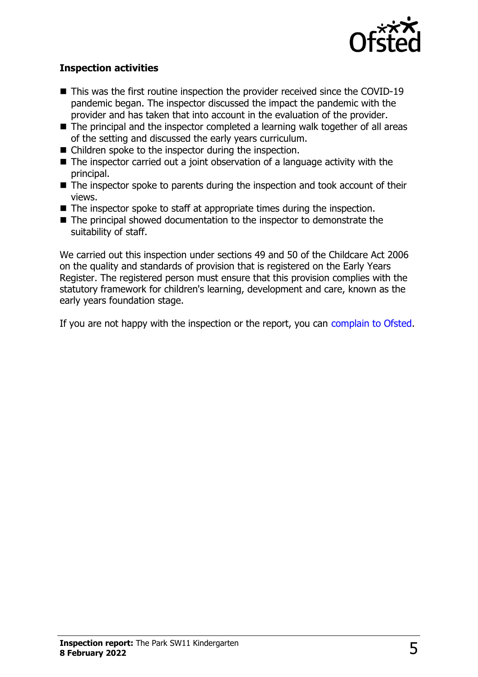

#### **Inspection activities**

- $\blacksquare$  This was the first routine inspection the provider received since the COVID-19 pandemic began. The inspector discussed the impact the pandemic with the provider and has taken that into account in the evaluation of the provider.
- $\blacksquare$  The principal and the inspector completed a learning walk together of all areas of the setting and discussed the early years curriculum.
- $\blacksquare$  Children spoke to the inspector during the inspection.
- $\blacksquare$  The inspector carried out a joint observation of a language activity with the principal.
- $\blacksquare$  The inspector spoke to parents during the inspection and took account of their views.
- $\blacksquare$  The inspector spoke to staff at appropriate times during the inspection.
- $\blacksquare$  The principal showed documentation to the inspector to demonstrate the suitability of staff.

We carried out this inspection under sections 49 and 50 of the Childcare Act 2006 on the quality and standards of provision that is registered on the Early Years Register. The registered person must ensure that this provision complies with the statutory framework for children's learning, development and care, known as the early years foundation stage.

If you are not happy with the inspection or the report, you can [complain to Ofsted](http://www.gov.uk/complain-ofsted-report).